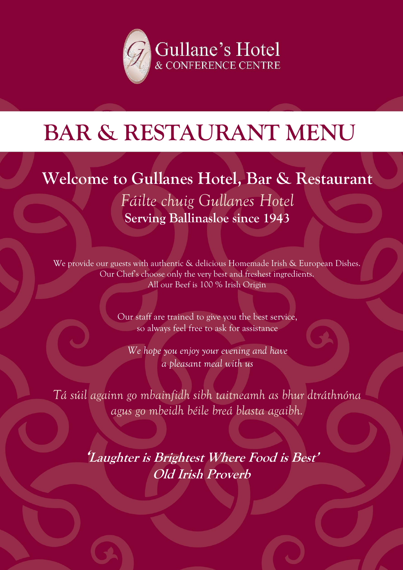

# **BAR & RESTAURANT MENU**

### **Welcome to Gullanes Hotel, Bar & Restaurant**

*Fáilte chuig Gullanes Hotel* **Serving Ballinasloe since 1943**

We provide our guests with authentic & delicious Homemade Irish & European Dishes. Our Chef's choose only the very best and freshest ingredients. All our Beef is 100 % Irish Origin

> Our staff are trained to give you the best service, so always feel free to ask for assistance

*We hope you enjoy your evening and have a pleasant meal with us*

*Tá súil againn go mbainfidh sibh taitneamh as bhur dtráthnóna agus go mbeidh béile breá blasta agaibh.*

> **'Laughter is Brightest Where Food is Best' Old Irish Proverb**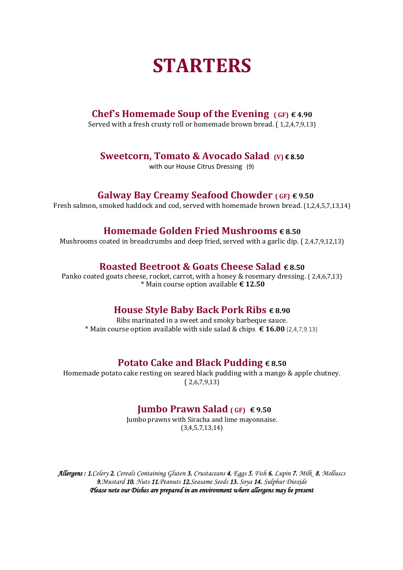### **STARTERS**

#### **Chef's Homemade Soup of the Evening**  $(GF) \in 4.90$

Served with a fresh crusty roll or homemade brown bread. ( 1,2,4,7,9,13)

#### **Sweetcorn, Tomato & Avocado Salad (V) € 8.50**

with our House Citrus Dressing (9)

#### **Galway Bay Creamy Seafood Chowder ( GF) € 9.50**

Fresh salmon, smoked haddock and cod, served with homemade brown bread. (1,2,4,5,7,13,14)

#### **Homemade Golden Fried Mushrooms € 8.50**

Mushrooms coated in breadcrumbs and deep fried, served with a garlic dip. ( 2,4,7,9,12,13)

#### **Roasted Beetroot & Goats Cheese Salad € 8.50**

Panko coated goats cheese, rocket, carrot, with a honey & rosemary dressing. ( 2,4,6,7,13) \* Main course option available **€ 12.50**

#### **House Style Baby Back Pork Ribs € 8.90**

Ribs marinated in a sweet and smoky barbeque sauce. \* Main course option available with side salad & chips **€ 16.00** (2,4,7,9.13)

#### **Potato Cake and Black Pudding € 8.50**

Homemade potato cake resting on seared black pudding with a mango & apple chutney. ( 2,6,7,9,13)

#### **Jumbo Prawn Salad ( GF) € 9.50**

Jumbo prawns with Siracha and lime mayonnaise. (3,4,5,7,13,14)

*Allergens : 1.Celery 2. Cereals Containing Gluten 3. Crustaceans 4. Eggs 5. Fish 6. Lupin 7. Milk 8. Molluscs 9.Mustard 10. Nuts 11.Peanuts 12.Seasame Seeds 13. Soya 14. Sulphur Dioxide Please note our Dishes are prepared in an environment where allergens may be present*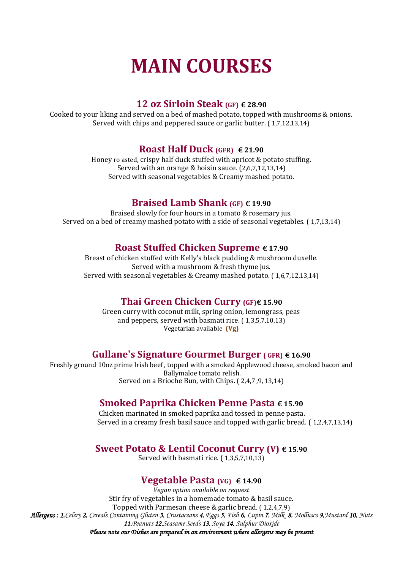## **MAIN COURSES**

#### **12 oz Sirloin Steak (GF) € 28.90**

Cooked to your liking and served on a bed of mashed potato, topped with mushrooms & onions. Served with chips and peppered sauce or garlic butter. ( 1,7,12,13,14)

#### **Roast Half Duck (GFR) € 21.90**

Honey ro asted, crispy half duck stuffed with apricot & potato stuffing. Served with an orange & hoisin sauce. (2,6,7,12,13,14) Served with seasonal vegetables & Creamy mashed potato.

#### **Braised Lamb Shank (GF) € 19.90**

Braised slowly for four hours in a tomato & rosemary jus. Served on a bed of creamy mashed potato with a side of seasonal vegetables. ( 1,7,13,14)

#### **Roast Stuffed Chicken Supreme € 17.90**

Breast of chicken stuffed with Kelly's black pudding & mushroom duxelle. Served with a mushroom & fresh thyme jus. Served with seasonal vegetables & Creamy mashed potato. ( 1,6,7,12,13,14)

#### **Thai Green Chicken Curry (GF)€ 15.90**

Green curry with coconut milk, spring onion, lemongrass, peas and peppers, served with basmati rice. ( 1,3,5,7,10,13) Vegetarian available **(Vg)**

#### **Gullane's Signature Gourmet Burger ( GFR) € 16.90**

Freshly ground 10oz prime Irish beef , topped with a smoked Applewood cheese, smoked bacon and Ballymaloe tomato relish. Served on a Brioche Bun, with Chips. ( 2,4,7 ,9, 13,14)

#### **Smoked Paprika Chicken Penne Pasta € 15.90**

Chicken marinated in smoked paprika and tossed in penne pasta. Served in a creamy fresh basil sauce and topped with garlic bread. ( 1,2,4,7,13,14)

#### **Sweet Potato & Lentil Coconut Curry (V) € 15.90**

Served with basmati rice. ( 1,3,5,7,10,13)

#### **Vegetable Pasta (VG) € 14.90**

*Vegan option available on request* Stir fry of vegetables in a homemade tomato & basil sauce. Topped with Parmesan cheese & garlic bread. ( 1,2,4,7,9) *Allergens : 1.Celery 2. Cereals Containing Gluten 3. Crustaceans 4. Eggs 5. Fish 6. Lupin 7. Milk 8. Molluscs 9.Mustard 10. Nuts 11.Peanuts 12.Seasame Seeds 13. Soya 14. Sulphur Dioxide Please note our Dishes are prepared in an environment where allergens may be present*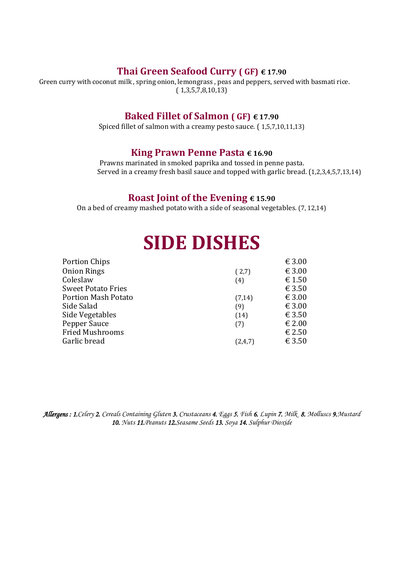#### **Thai Green Seafood Curry ( GF) € 17.90**

Green curry with coconut milk , spring onion, lemongrass , peas and peppers, served with basmati rice.  $(1,3,5,7,8,10,13)$ 

#### **Baked Fillet of Salmon ( GF) € 17.90**

Spiced fillet of salmon with a creamy pesto sauce. ( 1,5,7,10,11,13)

#### **King Prawn Penne Pasta € 16.90**

Prawns marinated in smoked paprika and tossed in penne pasta. Served in a creamy fresh basil sauce and topped with garlic bread. (1,2,3,4,5,7,13,14)

#### **Roast Joint of the Evening € 15.90**

On a bed of creamy mashed potato with a side of seasonal vegetables. (7, 12,14)

### **SIDE DISHES**

| € 3.00<br>(2,7)   |
|-------------------|
| € 1.50<br>(4)     |
| € 3.50            |
| € 3.00<br>(7, 14) |
| € 3.00<br>(9)     |
| € 3.50<br>(14)    |
| € 2.00<br>(7)     |
| € 2.50            |
| € 3.50<br>(2,4,7) |
|                   |

*Allergens : 1.Celery 2. Cereals Containing Gluten 3. Crustaceans 4. Eggs 5. Fish 6. Lupin 7. Milk 8. Molluscs 9.Mustard 10. Nuts 11.Peanuts 12.Seasame Seeds 13. Soya 14. Sulphur Dioxide*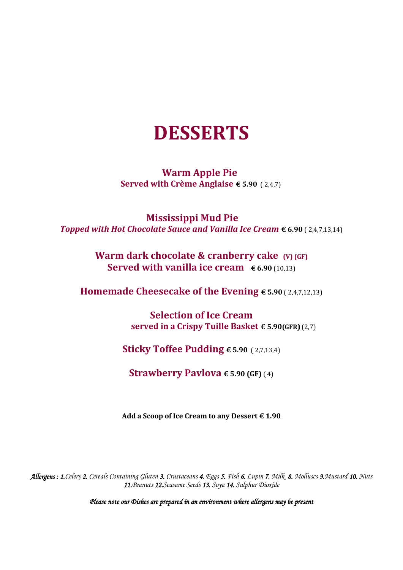### **DESSERTS**

#### **Warm Apple Pie Served with Crème Anglaise € 5.90** ( 2,4,7)

**Mississippi Mud Pie**  *Topped with Hot Chocolate Sauce and Vanilla Ice Cream* **€ 6.90** ( 2,4,7,13,14)

#### **Warm dark chocolate & cranberry cake**  $(V)$  (GF) **Served with vanilla ice cream € 6.90** (10,13)

**Homemade Cheesecake of the Evening € 5.90** ( 2,4,7,12,13)

**Selection of Ice Cream served in a Crispy Tuille Basket € 5.90(GFR)** (2,7)

**Sticky Toffee Pudding € 5.90** ( 2,7,13,4)

**Strawberry Pavlova**  $\epsilon$  **5.90 (GF)** (4)

**Add a Scoop of Ice Cream to any Dessert € 1.90**

*Allergens : 1.Celery 2. Cereals Containing Gluten 3. Crustaceans 4. Eggs 5. Fish 6. Lupin 7. Milk 8. Molluscs 9.Mustard 10. Nuts 11.Peanuts 12.Seasame Seeds 13. Soya 14. Sulphur Dioxide*

*Please note our Dishes are prepared in an environment where allergens may be present*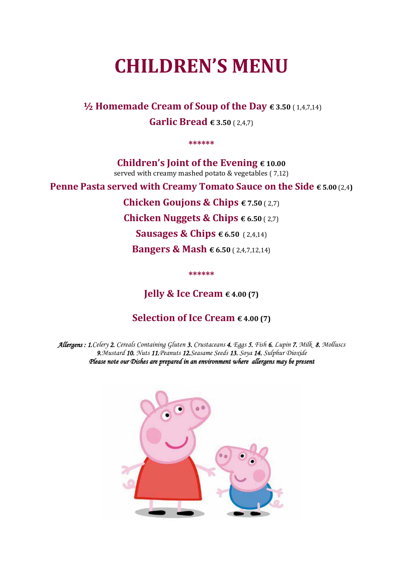### **CHILDREN'S MENU**

**½ Homemade Cream of Soup of the Day € 3.50** ( 1,4,7,14) **Garlic Bread € 3.50** ( 2,4,7)

**\*\*\*\*\*\***

**Children's Joint of the Evening € 10.00** served with creamy mashed potato & vegetables ( 7,12)

**Penne Pasta served with Creamy Tomato Sauce on the Side € 5.00** (2,4**)**

**Chicken Goujons & Chips € 7.50** ( 2,7)

**Chicken Nuggets & Chips € 6.50** ( 2,7)

**Sausages & Chips € 6.50** ( 2,4,14)

**Bangers & Mash € 6.50** ( 2,4,7,12,14)

**\*\*\*\*\*\***

**Jelly & Ice Cream € 4.00 (7)** 

#### **Selection of Ice Cream € 4.00 (7)**

*Allergens : 1.Celery 2. Cereals Containing Gluten 3. Crustaceans 4. Eggs 5. Fish 6. Lupin 7. Milk 8. Molluscs 9.Mustard 10. Nuts 11.Peanuts 12.Seasame Seeds 13. Soya 14. Sulphur Dioxide Please note our Dishes are prepared in an environment where allergens may be present*